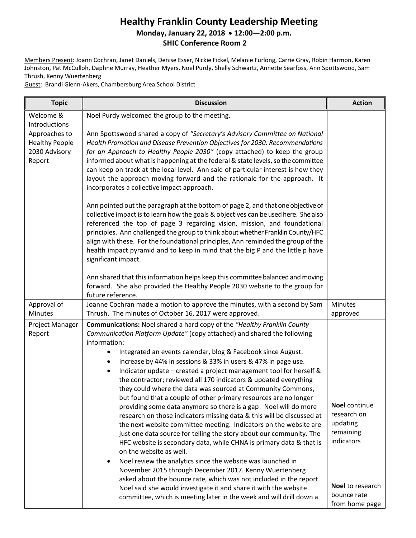#### **Healthy Franklin County Leadership Meeting Monday, January 22, 2018 12:00—2:00 p.m. SHIC Conference Room 2**

Members Present: Joann Cochran, Janet Daniels, Denise Esser, Nickie Fickel, Melanie Furlong, Carrie Gray, Robin Harmon, Karen Johnston, Pat McCulloh, Daphne Murray, Heather Myers, Noel Purdy, Shelly Schwartz, Annette Searfoss, Ann Spottswood, Sam Thrush, Kenny Wuertenberg

Guest: Brandi Glenn-Akers, Chambersburg Area School District

| <b>Topic</b>                                                      | <b>Discussion</b>                                                                                                                                                                                                                                                                                                                                                                                                                                                                                                                                                                                                                                                                                                                                                                                                                                                                                                                                                                                                                                                                                                                                                                                                                                                                                                                                                   | <b>Action</b>                                                                                                            |
|-------------------------------------------------------------------|---------------------------------------------------------------------------------------------------------------------------------------------------------------------------------------------------------------------------------------------------------------------------------------------------------------------------------------------------------------------------------------------------------------------------------------------------------------------------------------------------------------------------------------------------------------------------------------------------------------------------------------------------------------------------------------------------------------------------------------------------------------------------------------------------------------------------------------------------------------------------------------------------------------------------------------------------------------------------------------------------------------------------------------------------------------------------------------------------------------------------------------------------------------------------------------------------------------------------------------------------------------------------------------------------------------------------------------------------------------------|--------------------------------------------------------------------------------------------------------------------------|
| Welcome &<br>Introductions                                        | Noel Purdy welcomed the group to the meeting.                                                                                                                                                                                                                                                                                                                                                                                                                                                                                                                                                                                                                                                                                                                                                                                                                                                                                                                                                                                                                                                                                                                                                                                                                                                                                                                       |                                                                                                                          |
| Approaches to<br><b>Healthy People</b><br>2030 Advisory<br>Report | Ann Spottswood shared a copy of "Secretary's Advisory Committee on National<br>Health Promotion and Disease Prevention Objectives for 2030: Recommendations<br>for an Approach to Healthy People 2030" (copy attached) to keep the group<br>informed about what is happening at the federal & state levels, so the committee<br>can keep on track at the local level. Ann said of particular interest is how they<br>layout the approach moving forward and the rationale for the approach. It<br>incorporates a collective impact approach.                                                                                                                                                                                                                                                                                                                                                                                                                                                                                                                                                                                                                                                                                                                                                                                                                        |                                                                                                                          |
|                                                                   | Ann pointed out the paragraph at the bottom of page 2, and that one objective of<br>collective impact is to learn how the goals & objectives can be used here. She also<br>referenced the top of page 3 regarding vision, mission, and foundational<br>principles. Ann challenged the group to think about whether Franklin County/HFC<br>align with these. For the foundational principles, Ann reminded the group of the<br>health impact pyramid and to keep in mind that the big P and the little p have<br>significant impact.                                                                                                                                                                                                                                                                                                                                                                                                                                                                                                                                                                                                                                                                                                                                                                                                                                 |                                                                                                                          |
|                                                                   | Ann shared that this information helps keep this committee balanced and moving<br>forward. She also provided the Healthy People 2030 website to the group for<br>future reference.                                                                                                                                                                                                                                                                                                                                                                                                                                                                                                                                                                                                                                                                                                                                                                                                                                                                                                                                                                                                                                                                                                                                                                                  |                                                                                                                          |
| Approval of<br>Minutes                                            | Joanne Cochran made a motion to approve the minutes, with a second by Sam<br>Thrush. The minutes of October 16, 2017 were approved.                                                                                                                                                                                                                                                                                                                                                                                                                                                                                                                                                                                                                                                                                                                                                                                                                                                                                                                                                                                                                                                                                                                                                                                                                                 | <b>Minutes</b><br>approved                                                                                               |
| Project Manager<br>Report                                         | <b>Communications:</b> Noel shared a hard copy of the "Healthy Franklin County<br>Communication Platform Update" (copy attached) and shared the following<br>information:<br>Integrated an events calendar, blog & Facebook since August.<br>Increase by 44% in sessions & 33% in users & 47% in page use.<br>$\bullet$<br>Indicator update - created a project management tool for herself &<br>$\bullet$<br>the contractor; reviewed all 170 indicators & updated everything<br>they could where the data was sourced at Community Commons,<br>but found that a couple of other primary resources are no longer<br>providing some data anymore so there is a gap. Noel will do more<br>research on those indicators missing data & this will be discussed at<br>the next website committee meeting. Indicators on the website are<br>just one data source for telling the story about our community. The<br>HFC website is secondary data, while CHNA is primary data & that is<br>on the website as well.<br>Noel review the analytics since the website was launched in<br>$\bullet$<br>November 2015 through December 2017. Kenny Wuertenberg<br>asked about the bounce rate, which was not included in the report.<br>Noel said she would investigate it and share it with the website<br>committee, which is meeting later in the week and will drill down a | Noel continue<br>research on<br>updating<br>remaining<br>indicators<br>Noel to research<br>bounce rate<br>from home page |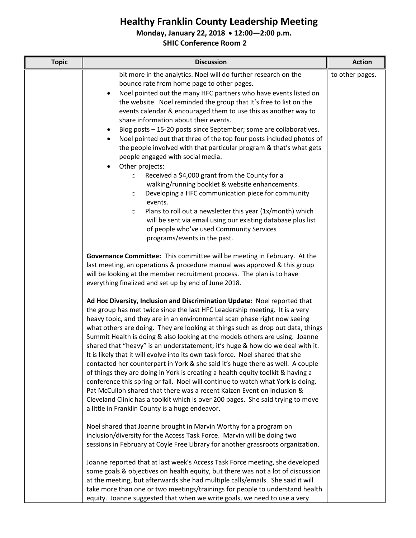#### **Monday, January 22, 2018 12:00—2:00 p.m.**

| <b>Topic</b> | <b>Discussion</b>                                                                                                                                                                                                                                                                                                                                                                                                                                                                                                                                                                                                                                             | <b>Action</b>   |
|--------------|---------------------------------------------------------------------------------------------------------------------------------------------------------------------------------------------------------------------------------------------------------------------------------------------------------------------------------------------------------------------------------------------------------------------------------------------------------------------------------------------------------------------------------------------------------------------------------------------------------------------------------------------------------------|-----------------|
|              | bit more in the analytics. Noel will do further research on the<br>bounce rate from home page to other pages.<br>Noel pointed out the many HFC partners who have events listed on<br>$\bullet$<br>the website. Noel reminded the group that It's free to list on the<br>events calendar & encouraged them to use this as another way to<br>share information about their events.                                                                                                                                                                                                                                                                              | to other pages. |
|              | Blog posts - 15-20 posts since September; some are collaboratives.<br>٠<br>Noel pointed out that three of the top four posts included photos of<br>٠<br>the people involved with that particular program & that's what gets<br>people engaged with social media.<br>Other projects:<br>$\bullet$                                                                                                                                                                                                                                                                                                                                                              |                 |
|              | Received a \$4,000 grant from the County for a<br>$\circ$<br>walking/running booklet & website enhancements.<br>Developing a HFC communication piece for community<br>$\circ$<br>events.                                                                                                                                                                                                                                                                                                                                                                                                                                                                      |                 |
|              | Plans to roll out a newsletter this year (1x/month) which<br>$\circ$<br>will be sent via email using our existing database plus list<br>of people who've used Community Services<br>programs/events in the past.                                                                                                                                                                                                                                                                                                                                                                                                                                              |                 |
|              | Governance Committee: This committee will be meeting in February. At the<br>last meeting, an operations & procedure manual was approved & this group<br>will be looking at the member recruitment process. The plan is to have<br>everything finalized and set up by end of June 2018.                                                                                                                                                                                                                                                                                                                                                                        |                 |
|              | Ad Hoc Diversity, Inclusion and Discrimination Update: Noel reported that<br>the group has met twice since the last HFC Leadership meeting. It is a very<br>heavy topic, and they are in an environmental scan phase right now seeing<br>what others are doing. They are looking at things such as drop out data, things<br>Summit Health is doing & also looking at the models others are using. Joanne<br>shared that "heavy" is an understatement; it's huge & how do we deal with it.<br>It is likely that it will evolve into its own task force. Noel shared that she<br>contacted her counterpart in York & she said it's huge there as well. A couple |                 |
|              | of things they are doing in York is creating a health equity toolkit & having a<br>conference this spring or fall. Noel will continue to watch what York is doing.<br>Pat McCulloh shared that there was a recent Kaizen Event on inclusion &<br>Cleveland Clinic has a toolkit which is over 200 pages. She said trying to move<br>a little in Franklin County is a huge endeavor.                                                                                                                                                                                                                                                                           |                 |
|              | Noel shared that Joanne brought in Marvin Worthy for a program on<br>inclusion/diversity for the Access Task Force. Marvin will be doing two<br>sessions in February at Coyle Free Library for another grassroots organization.                                                                                                                                                                                                                                                                                                                                                                                                                               |                 |
|              | Joanne reported that at last week's Access Task Force meeting, she developed<br>some goals & objectives on health equity, but there was not a lot of discussion<br>at the meeting, but afterwards she had multiple calls/emails. She said it will<br>take more than one or two meetings/trainings for people to understand health<br>equity. Joanne suggested that when we write goals, we need to use a very                                                                                                                                                                                                                                                 |                 |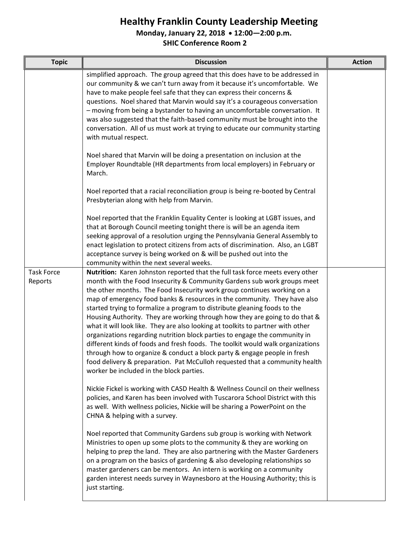**Monday, January 22, 2018 12:00—2:00 p.m.**

| <b>Topic</b>                 | <b>Discussion</b>                                                                                                                                                                                                                                                                                                                                                                                                                                                                                                                                                                                                                                                                                                                                                                                                                                                                                                                                                                                                       | <b>Action</b> |
|------------------------------|-------------------------------------------------------------------------------------------------------------------------------------------------------------------------------------------------------------------------------------------------------------------------------------------------------------------------------------------------------------------------------------------------------------------------------------------------------------------------------------------------------------------------------------------------------------------------------------------------------------------------------------------------------------------------------------------------------------------------------------------------------------------------------------------------------------------------------------------------------------------------------------------------------------------------------------------------------------------------------------------------------------------------|---------------|
|                              | simplified approach. The group agreed that this does have to be addressed in<br>our community & we can't turn away from it because it's uncomfortable. We<br>have to make people feel safe that they can express their concerns &<br>questions. Noel shared that Marvin would say it's a courageous conversation<br>- moving from being a bystander to having an uncomfortable conversation. It<br>was also suggested that the faith-based community must be brought into the<br>conversation. All of us must work at trying to educate our community starting<br>with mutual respect.                                                                                                                                                                                                                                                                                                                                                                                                                                  |               |
|                              | Noel shared that Marvin will be doing a presentation on inclusion at the<br>Employer Roundtable (HR departments from local employers) in February or<br>March.                                                                                                                                                                                                                                                                                                                                                                                                                                                                                                                                                                                                                                                                                                                                                                                                                                                          |               |
|                              | Noel reported that a racial reconciliation group is being re-booted by Central<br>Presbyterian along with help from Marvin.                                                                                                                                                                                                                                                                                                                                                                                                                                                                                                                                                                                                                                                                                                                                                                                                                                                                                             |               |
|                              | Noel reported that the Franklin Equality Center is looking at LGBT issues, and<br>that at Borough Council meeting tonight there is will be an agenda item<br>seeking approval of a resolution urging the Pennsylvania General Assembly to<br>enact legislation to protect citizens from acts of discrimination. Also, an LGBT<br>acceptance survey is being worked on & will be pushed out into the<br>community within the next several weeks.                                                                                                                                                                                                                                                                                                                                                                                                                                                                                                                                                                         |               |
| <b>Task Force</b><br>Reports | Nutrition: Karen Johnston reported that the full task force meets every other<br>month with the Food Insecurity & Community Gardens sub work groups meet<br>the other months. The Food Insecurity work group continues working on a<br>map of emergency food banks & resources in the community. They have also<br>started trying to formalize a program to distribute gleaning foods to the<br>Housing Authority. They are working through how they are going to do that &<br>what it will look like. They are also looking at toolkits to partner with other<br>organizations regarding nutrition block parties to engage the community in<br>different kinds of foods and fresh foods. The toolkit would walk organizations<br>through how to organize & conduct a block party & engage people in fresh<br>food delivery & preparation. Pat McCulloh requested that a community health<br>worker be included in the block parties.<br>Nickie Fickel is working with CASD Health & Wellness Council on their wellness |               |
|                              | policies, and Karen has been involved with Tuscarora School District with this<br>as well. With wellness policies, Nickie will be sharing a PowerPoint on the<br>CHNA & helping with a survey.                                                                                                                                                                                                                                                                                                                                                                                                                                                                                                                                                                                                                                                                                                                                                                                                                          |               |
|                              | Noel reported that Community Gardens sub group is working with Network<br>Ministries to open up some plots to the community & they are working on<br>helping to prep the land. They are also partnering with the Master Gardeners<br>on a program on the basics of gardening & also developing relationships so<br>master gardeners can be mentors. An intern is working on a community<br>garden interest needs survey in Waynesboro at the Housing Authority; this is<br>just starting.                                                                                                                                                                                                                                                                                                                                                                                                                                                                                                                               |               |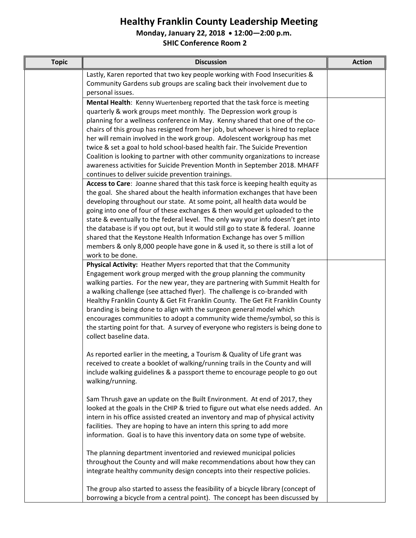**Monday, January 22, 2018 12:00—2:00 p.m.**

| <b>Topic</b> | <b>Discussion</b>                                                                                                                                                                                                                                                                                                                                                                                                                                                                                                                                                                                                                                                               | <b>Action</b> |
|--------------|---------------------------------------------------------------------------------------------------------------------------------------------------------------------------------------------------------------------------------------------------------------------------------------------------------------------------------------------------------------------------------------------------------------------------------------------------------------------------------------------------------------------------------------------------------------------------------------------------------------------------------------------------------------------------------|---------------|
|              | Lastly, Karen reported that two key people working with Food Insecurities &<br>Community Gardens sub groups are scaling back their involvement due to<br>personal issues.                                                                                                                                                                                                                                                                                                                                                                                                                                                                                                       |               |
|              | Mental Health: Kenny Wuertenberg reported that the task force is meeting<br>quarterly & work groups meet monthly. The Depression work group is<br>planning for a wellness conference in May. Kenny shared that one of the co-                                                                                                                                                                                                                                                                                                                                                                                                                                                   |               |
|              | chairs of this group has resigned from her job, but whoever is hired to replace<br>her will remain involved in the work group. Adolescent workgroup has met<br>twice & set a goal to hold school-based health fair. The Suicide Prevention                                                                                                                                                                                                                                                                                                                                                                                                                                      |               |
|              | Coalition is looking to partner with other community organizations to increase<br>awareness activities for Suicide Prevention Month in September 2018. MHAFF<br>continues to deliver suicide prevention trainings.                                                                                                                                                                                                                                                                                                                                                                                                                                                              |               |
|              | Access to Care: Joanne shared that this task force is keeping health equity as<br>the goal. She shared about the health information exchanges that have been<br>developing throughout our state. At some point, all health data would be<br>going into one of four of these exchanges & then would get uploaded to the<br>state & eventually to the federal level. The only way your info doesn't get into<br>the database is if you opt out, but it would still go to state & federal. Joanne<br>shared that the Keystone Health Information Exchange has over 5 million<br>members & only 8,000 people have gone in & used it, so there is still a lot of<br>work to be done. |               |
|              | Physical Activity: Heather Myers reported that that the Community<br>Engagement work group merged with the group planning the community<br>walking parties. For the new year, they are partnering with Summit Health for<br>a walking challenge (see attached flyer). The challenge is co-branded with<br>Healthy Franklin County & Get Fit Franklin County. The Get Fit Franklin County<br>branding is being done to align with the surgeon general model which<br>encourages communities to adopt a community wide theme/symbol, so this is<br>the starting point for that. A survey of everyone who registers is being done to<br>collect baseline data.                     |               |
|              | As reported earlier in the meeting, a Tourism & Quality of Life grant was<br>received to create a booklet of walking/running trails in the County and will<br>include walking guidelines & a passport theme to encourage people to go out<br>walking/running.                                                                                                                                                                                                                                                                                                                                                                                                                   |               |
|              | Sam Thrush gave an update on the Built Environment. At end of 2017, they<br>looked at the goals in the CHIP & tried to figure out what else needs added. An<br>intern in his office assisted created an inventory and map of physical activity<br>facilities. They are hoping to have an intern this spring to add more<br>information. Goal is to have this inventory data on some type of website.                                                                                                                                                                                                                                                                            |               |
|              | The planning department inventoried and reviewed municipal policies<br>throughout the County and will make recommendations about how they can<br>integrate healthy community design concepts into their respective policies.                                                                                                                                                                                                                                                                                                                                                                                                                                                    |               |
|              | The group also started to assess the feasibility of a bicycle library (concept of<br>borrowing a bicycle from a central point). The concept has been discussed by                                                                                                                                                                                                                                                                                                                                                                                                                                                                                                               |               |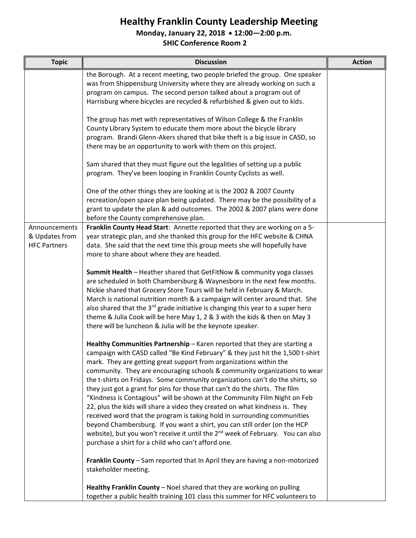**Monday, January 22, 2018 12:00—2:00 p.m.**

| <b>Topic</b>                                           | <b>Discussion</b>                                                                                                                                                                                                                                                                                                                                                                                                                                                                                                                                                                                                                                                                                                                                                                                                                                                                                                                                        | <b>Action</b> |
|--------------------------------------------------------|----------------------------------------------------------------------------------------------------------------------------------------------------------------------------------------------------------------------------------------------------------------------------------------------------------------------------------------------------------------------------------------------------------------------------------------------------------------------------------------------------------------------------------------------------------------------------------------------------------------------------------------------------------------------------------------------------------------------------------------------------------------------------------------------------------------------------------------------------------------------------------------------------------------------------------------------------------|---------------|
|                                                        | the Borough. At a recent meeting, two people briefed the group. One speaker<br>was from Shippensburg University where they are already working on such a<br>program on campus. The second person talked about a program out of<br>Harrisburg where bicycles are recycled & refurbished & given out to kids.                                                                                                                                                                                                                                                                                                                                                                                                                                                                                                                                                                                                                                              |               |
|                                                        | The group has met with representatives of Wilson College & the Franklin<br>County Library System to educate them more about the bicycle library<br>program. Brandi Glenn-Akers shared that bike theft is a big issue in CASD, so<br>there may be an opportunity to work with them on this project.                                                                                                                                                                                                                                                                                                                                                                                                                                                                                                                                                                                                                                                       |               |
|                                                        | Sam shared that they must figure out the legalities of setting up a public<br>program. They've been looping in Franklin County Cyclists as well.                                                                                                                                                                                                                                                                                                                                                                                                                                                                                                                                                                                                                                                                                                                                                                                                         |               |
|                                                        | One of the other things they are looking at is the 2002 & 2007 County<br>recreation/open space plan being updated. There may be the possibility of a<br>grant to update the plan & add outcomes. The 2002 & 2007 plans were done<br>before the County comprehensive plan.                                                                                                                                                                                                                                                                                                                                                                                                                                                                                                                                                                                                                                                                                |               |
| Announcements<br>& Updates from<br><b>HFC Partners</b> | Franklin County Head Start: Annette reported that they are working on a 5-<br>year strategic plan, and she thanked this group for the HFC website & CHNA<br>data. She said that the next time this group meets she will hopefully have<br>more to share about where they are headed.                                                                                                                                                                                                                                                                                                                                                                                                                                                                                                                                                                                                                                                                     |               |
|                                                        | <b>Summit Health</b> - Heather shared that GetFitNow & community yoga classes<br>are scheduled in both Chambersburg & Waynesboro in the next few months.<br>Nickie shared that Grocery Store Tours will be held in February & March.<br>March is national nutrition month & a campaign will center around that. She<br>also shared that the 3 <sup>rd</sup> grade initiative is changing this year to a super hero<br>theme & Julia Cook will be here May 1, 2 & 3 with the kids & then on May 3<br>there will be luncheon & Julia will be the keynote speaker.                                                                                                                                                                                                                                                                                                                                                                                          |               |
|                                                        | Healthy Communities Partnership - Karen reported that they are starting a<br>campaign with CASD called "Be Kind February" & they just hit the 1,500 t-shirt<br>mark. They are getting great support from organizations within the<br>community. They are encouraging schools & community organizations to wear<br>the t-shirts on Fridays. Some community organizations can't do the shirts, so<br>they just got a grant for pins for those that can't do the shirts. The film<br>"Kindness is Contagious" will be shown at the Community Film Night on Feb<br>22, plus the kids will share a video they created on what kindness is. They<br>received word that the program is taking hold in surrounding communities<br>beyond Chambersburg. If you want a shirt, you can still order (on the HCP<br>website), but you won't receive it until the 2 <sup>nd</sup> week of February. You can also<br>purchase a shirt for a child who can't afford one. |               |
|                                                        | Franklin County - Sam reported that In April they are having a non-motorized<br>stakeholder meeting.                                                                                                                                                                                                                                                                                                                                                                                                                                                                                                                                                                                                                                                                                                                                                                                                                                                     |               |
|                                                        | Healthy Franklin County - Noel shared that they are working on pulling<br>together a public health training 101 class this summer for HFC volunteers to                                                                                                                                                                                                                                                                                                                                                                                                                                                                                                                                                                                                                                                                                                                                                                                                  |               |